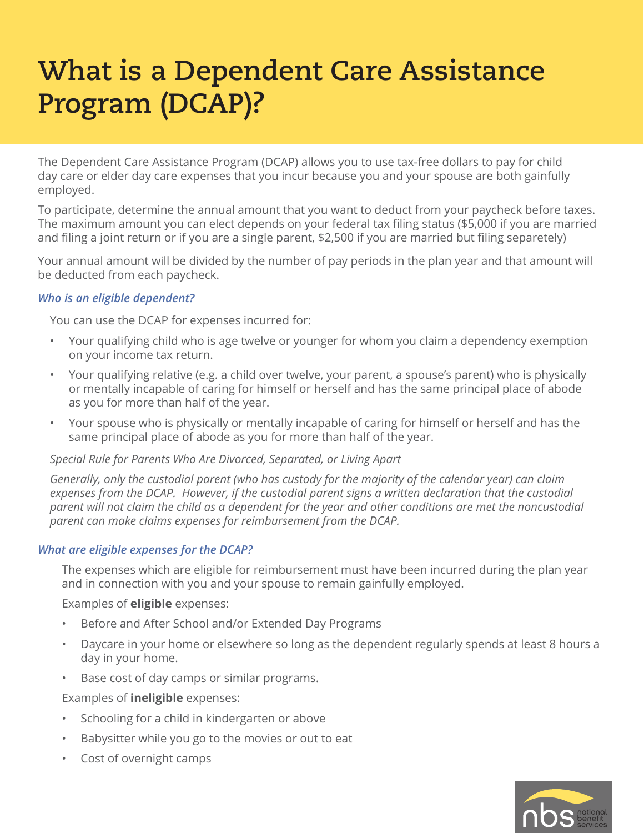# **What is a Dependent Care Assistance Program (DCAP)?**

The Dependent Care Assistance Program (DCAP) allows you to use tax-free dollars to pay for child day care or elder day care expenses that you incur because you and your spouse are both gainfully employed.

To participate, determine the annual amount that you want to deduct from your paycheck before taxes. The maximum amount you can elect depends on your federal tax filing status (\$5,000 if you are married and filing a joint return or if you are a single parent, \$2,500 if you are married but filing separetely)

Your annual amount will be divided by the number of pay periods in the plan year and that amount will be deducted from each paycheck.

## *Who is an eligible dependent?*

You can use the DCAP for expenses incurred for:

- Your qualifying child who is age twelve or younger for whom you claim a dependency exemption on your income tax return.
- Your qualifying relative (e.g. a child over twelve, your parent, a spouse's parent) who is physically or mentally incapable of caring for himself or herself and has the same principal place of abode as you for more than half of the year.
- Your spouse who is physically or mentally incapable of caring for himself or herself and has the same principal place of abode as you for more than half of the year.

## *Special Rule for Parents Who Are Divorced, Separated, or Living Apart*

*Generally, only the custodial parent (who has custody for the majority of the calendar year) can claim expenses from the DCAP. However, if the custodial parent signs a written declaration that the custodial parent will not claim the child as a dependent for the year and other conditions are met the noncustodial parent can make claims expenses for reimbursement from the DCAP.*

## *What are eligible expenses for the DCAP?*

The expenses which are eligible for reimbursement must have been incurred during the plan year and in connection with you and your spouse to remain gainfully employed.

Examples of **eligible** expenses:

- Before and After School and/or Extended Day Programs
- Daycare in your home or elsewhere so long as the dependent regularly spends at least 8 hours a day in your home.
- Base cost of day camps or similar programs.

Examples of **ineligible** expenses:

- Schooling for a child in kindergarten or above
- Babysitter while you go to the movies or out to eat
- Cost of overnight camps